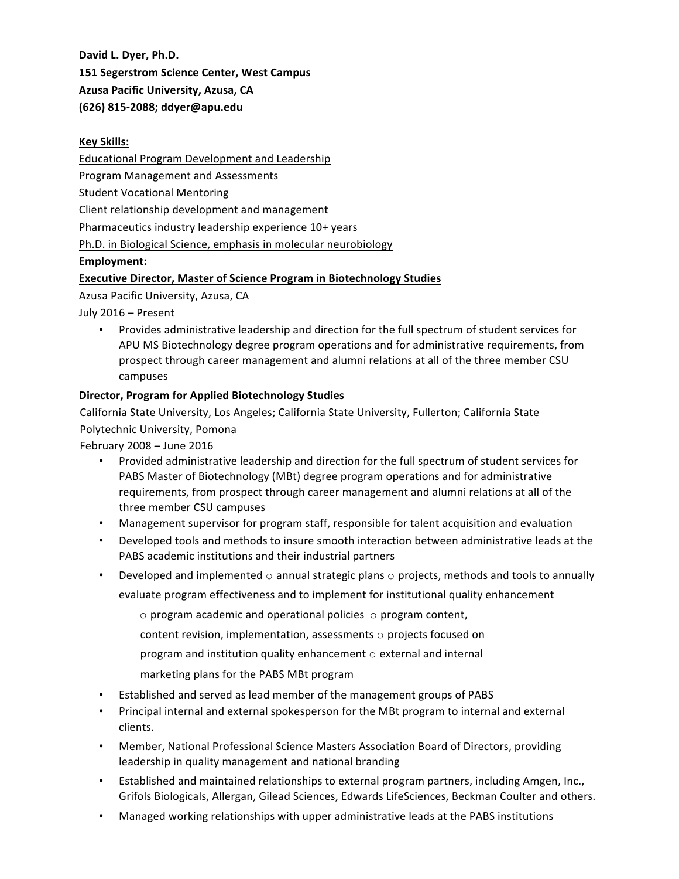David L. Dyer, Ph.D.

**151 Segerstrom Science Center, West Campus**

**Azusa Pacific University, Azusa, CA** 

# **(626) 815-2088; ddyer@apu.edu**

#### **Key Skills:**

Educational Program Development and Leadership

Program Management and Assessments

Student Vocational Mentoring

Client relationship development and management

Pharmaceutics industry leadership experience 10+ years

Ph.D. in Biological Science, emphasis in molecular neurobiology

## **Employment:**

# **Executive Director, Master of Science Program in Biotechnology Studies**

Azusa Pacific University, Azusa, CA

July 2016 - Present

Provides administrative leadership and direction for the full spectrum of student services for APU MS Biotechnology degree program operations and for administrative requirements, from prospect through career management and alumni relations at all of the three member CSU campuses 

## **Director, Program for Applied Biotechnology Studies**

California State University, Los Angeles; California State University, Fullerton; California State Polytechnic University, Pomona

February  $2008 -$  June  $2016$ 

- Provided administrative leadership and direction for the full spectrum of student services for PABS Master of Biotechnology (MBt) degree program operations and for administrative requirements, from prospect through career management and alumni relations at all of the three member CSU campuses
- Management supervisor for program staff, responsible for talent acquisition and evaluation
- Developed tools and methods to insure smooth interaction between administrative leads at the PABS academic institutions and their industrial partners
- Developed and implemented  $\circ$  annual strategic plans  $\circ$  projects, methods and tools to annually evaluate program effectiveness and to implement for institutional quality enhancement
	- $\circ$  program academic and operational policies  $\circ$  program content,
	- content revision, implementation, assessments  $\circ$  projects focused on
	- program and institution quality enhancement  $\circ$  external and internal
	- marketing plans for the PABS MBt program
- Established and served as lead member of the management groups of PABS
- Principal internal and external spokesperson for the MBt program to internal and external clients.
- Member, National Professional Science Masters Association Board of Directors, providing leadership in quality management and national branding
- Established and maintained relationships to external program partners, including Amgen, Inc., Grifols Biologicals, Allergan, Gilead Sciences, Edwards LifeSciences, Beckman Coulter and others.
- Managed working relationships with upper administrative leads at the PABS institutions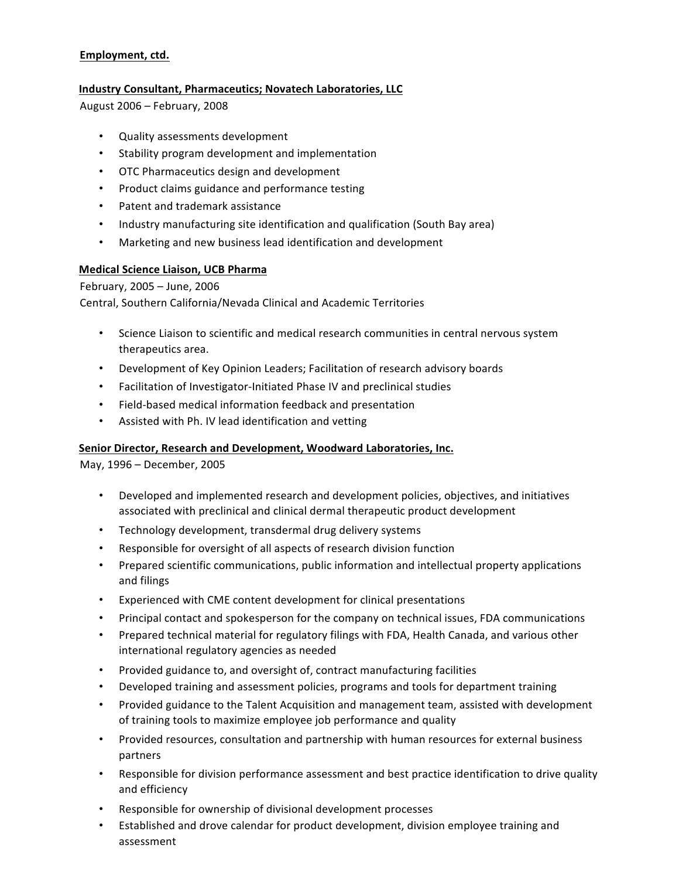## Employment, ctd.

### **Industry Consultant, Pharmaceutics; Novatech Laboratories, LLC**

August 2006 – February, 2008 

- Quality assessments development
- Stability program development and implementation
- OTC Pharmaceutics design and development
- Product claims guidance and performance testing
- Patent and trademark assistance
- Industry manufacturing site identification and qualification (South Bay area)
- Marketing and new business lead identification and development

## **Medical Science Liaison, UCB Pharma**

### February, 2005 - June, 2006

Central, Southern California/Nevada Clinical and Academic Territories

- Science Liaison to scientific and medical research communities in central nervous system therapeutics area.
- Development of Key Opinion Leaders; Facilitation of research advisory boards
- Facilitation of Investigator-Initiated Phase IV and preclinical studies
- Field-based medical information feedback and presentation
- Assisted with Ph. IV lead identification and vetting

### Senior Director, Research and Development, Woodward Laboratories, Inc.

May, 1996 - December, 2005

- Developed and implemented research and development policies, objectives, and initiatives associated with preclinical and clinical dermal therapeutic product development
- Technology development, transdermal drug delivery systems
- Responsible for oversight of all aspects of research division function
- Prepared scientific communications, public information and intellectual property applications and filings
- Experienced with CME content development for clinical presentations
- Principal contact and spokesperson for the company on technical issues, FDA communications
- Prepared technical material for regulatory filings with FDA, Health Canada, and various other international regulatory agencies as needed
- Provided guidance to, and oversight of, contract manufacturing facilities
- Developed training and assessment policies, programs and tools for department training
- Provided guidance to the Talent Acquisition and management team, assisted with development of training tools to maximize employee job performance and quality
- Provided resources, consultation and partnership with human resources for external business partners
- Responsible for division performance assessment and best practice identification to drive quality and efficiency
- Responsible for ownership of divisional development processes
- Established and drove calendar for product development, division employee training and assessment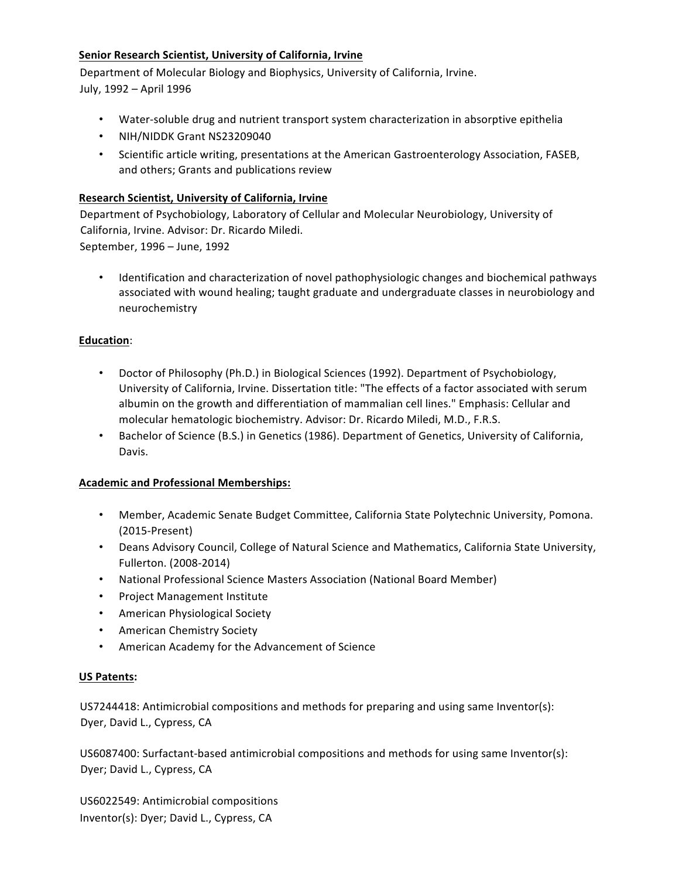## **Senior Research Scientist, University of California, Irvine**

Department of Molecular Biology and Biophysics, University of California, Irvine. July, 1992 - April 1996

- Water-soluble drug and nutrient transport system characterization in absorptive epithelia
- NIH/NIDDK Grant NS23209040
- Scientific article writing, presentations at the American Gastroenterology Association, FASEB, and others; Grants and publications review

### **Research Scientist, University of California, Irvine**

Department of Psychobiology, Laboratory of Cellular and Molecular Neurobiology, University of California, Irvine. Advisor: Dr. Ricardo Miledi.

September, 1996 – June, 1992

Identification and characterization of novel pathophysiologic changes and biochemical pathways associated with wound healing; taught graduate and undergraduate classes in neurobiology and neurochemistry 

## **Education**:

- Doctor of Philosophy (Ph.D.) in Biological Sciences (1992). Department of Psychobiology, University of California, Irvine. Dissertation title: "The effects of a factor associated with serum albumin on the growth and differentiation of mammalian cell lines." Emphasis: Cellular and molecular hematologic biochemistry. Advisor: Dr. Ricardo Miledi, M.D., F.R.S.
- Bachelor of Science (B.S.) in Genetics (1986). Department of Genetics, University of California, Davis.

# **Academic and Professional Memberships:**

- Member, Academic Senate Budget Committee, California State Polytechnic University, Pomona. (2015-Present)
- Deans Advisory Council, College of Natural Science and Mathematics, California State University, Fullerton. (2008-2014)
- National Professional Science Masters Association (National Board Member)
- Project Management Institute
- American Physiological Society
- American Chemistry Society
- American Academy for the Advancement of Science

### **US Patents:**

US7244418: Antimicrobial compositions and methods for preparing and using same Inventor(s): Dyer, David L., Cypress, CA

US6087400: Surfactant-based antimicrobial compositions and methods for using same Inventor(s): Dyer; David L., Cypress, CA

US6022549: Antimicrobial compositions Inventor(s): Dyer; David L., Cypress, CA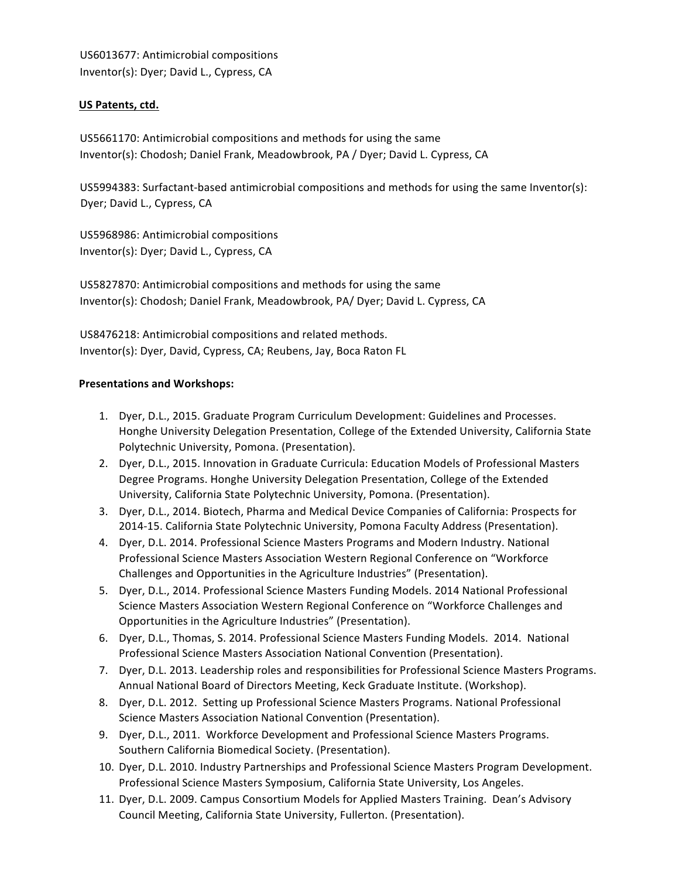US6013677: Antimicrobial compositions Inventor(s): Dyer; David L., Cypress, CA

### US Patents, ctd.

US5661170: Antimicrobial compositions and methods for using the same Inventor(s): Chodosh; Daniel Frank, Meadowbrook, PA / Dyer; David L. Cypress, CA

US5994383: Surfactant-based antimicrobial compositions and methods for using the same Inventor(s): Dyer; David L., Cypress, CA

US5968986: Antimicrobial compositions Inventor(s): Dyer; David L., Cypress, CA

US5827870: Antimicrobial compositions and methods for using the same Inventor(s): Chodosh; Daniel Frank, Meadowbrook, PA/ Dyer; David L. Cypress, CA

US8476218: Antimicrobial compositions and related methods. Inventor(s): Dyer, David, Cypress, CA; Reubens, Jay, Boca Raton FL

#### **Presentations and Workshops:**

- 1. Dyer, D.L., 2015. Graduate Program Curriculum Development: Guidelines and Processes. Honghe University Delegation Presentation, College of the Extended University, California State Polytechnic University, Pomona. (Presentation).
- 2. Dyer, D.L., 2015. Innovation in Graduate Curricula: Education Models of Professional Masters Degree Programs. Honghe University Delegation Presentation, College of the Extended University, California State Polytechnic University, Pomona. (Presentation).
- 3. Dyer, D.L., 2014. Biotech, Pharma and Medical Device Companies of California: Prospects for 2014-15. California State Polytechnic University, Pomona Faculty Address (Presentation).
- 4. Dyer, D.L. 2014. Professional Science Masters Programs and Modern Industry. National Professional Science Masters Association Western Regional Conference on "Workforce Challenges and Opportunities in the Agriculture Industries" (Presentation).
- 5. Dyer, D.L., 2014. Professional Science Masters Funding Models. 2014 National Professional Science Masters Association Western Regional Conference on "Workforce Challenges and Opportunities in the Agriculture Industries" (Presentation).
- 6. Dyer, D.L., Thomas, S. 2014. Professional Science Masters Funding Models. 2014. National Professional Science Masters Association National Convention (Presentation).
- 7. Dyer, D.L. 2013. Leadership roles and responsibilities for Professional Science Masters Programs. Annual National Board of Directors Meeting, Keck Graduate Institute. (Workshop).
- 8. Dyer, D.L. 2012. Setting up Professional Science Masters Programs. National Professional Science Masters Association National Convention (Presentation).
- 9. Dyer, D.L., 2011. Workforce Development and Professional Science Masters Programs. Southern California Biomedical Society. (Presentation).
- 10. Dyer, D.L. 2010. Industry Partnerships and Professional Science Masters Program Development. Professional Science Masters Symposium, California State University, Los Angeles.
- 11. Dyer, D.L. 2009. Campus Consortium Models for Applied Masters Training. Dean's Advisory Council Meeting, California State University, Fullerton. (Presentation).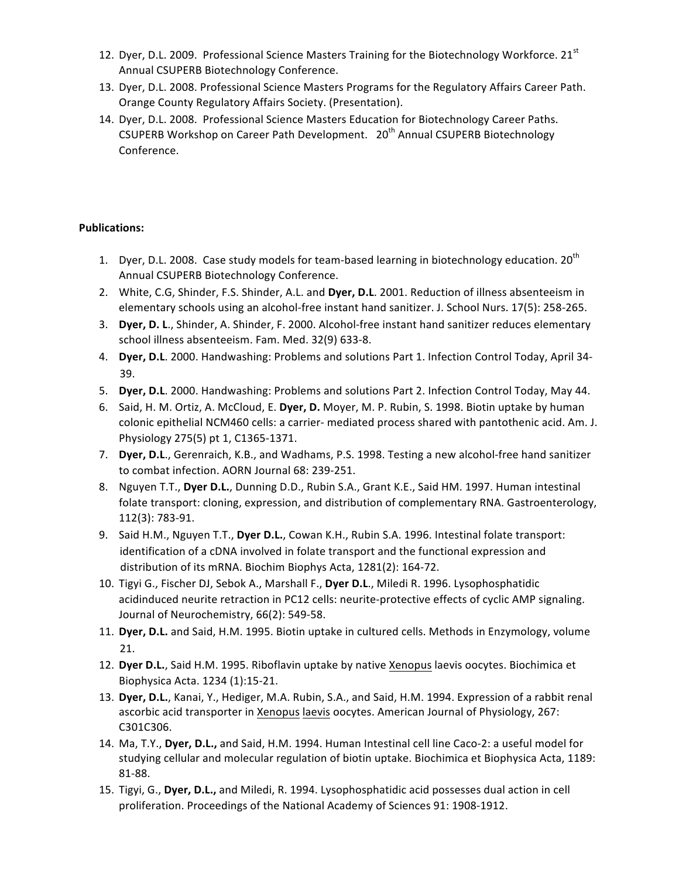- 12. Dyer, D.L. 2009. Professional Science Masters Training for the Biotechnology Workforce. 21<sup>st</sup> Annual CSUPERB Biotechnology Conference.
- 13. Dyer, D.L. 2008. Professional Science Masters Programs for the Regulatory Affairs Career Path. Orange County Regulatory Affairs Society. (Presentation).
- 14. Dyer, D.L. 2008. Professional Science Masters Education for Biotechnology Career Paths. CSUPERB Workshop on Career Path Development. 20<sup>th</sup> Annual CSUPERB Biotechnology Conference.

### **Publications:**

- 1. Dyer, D.L. 2008. Case study models for team-based learning in biotechnology education.  $20^{\text{th}}$ Annual CSUPERB Biotechnology Conference.
- 2. White, C.G, Shinder, F.S. Shinder, A.L. and Dyer, D.L. 2001. Reduction of illness absenteeism in elementary schools using an alcohol-free instant hand sanitizer. J. School Nurs. 17(5): 258-265.
- 3. **Dyer, D. L.**, Shinder, A. Shinder, F. 2000. Alcohol-free instant hand sanitizer reduces elementary school illness absenteeism. Fam. Med. 32(9) 633-8.
- 4. **Dyer, D.L.** 2000. Handwashing: Problems and solutions Part 1. Infection Control Today, April 34-39.
- 5. **Dyer, D.L**. 2000. Handwashing: Problems and solutions Part 2. Infection Control Today, May 44.
- 6. Said, H. M. Ortiz, A. McCloud, E. Dyer, D. Moyer, M. P. Rubin, S. 1998. Biotin uptake by human colonic epithelial NCM460 cells: a carrier- mediated process shared with pantothenic acid. Am. J. Physiology 275(5) pt 1, C1365-1371.
- 7. Dyer, D.L., Gerenraich, K.B., and Wadhams, P.S. 1998. Testing a new alcohol-free hand sanitizer to combat infection. AORN Journal 68: 239-251.
- 8. Nguyen T.T., Dyer D.L., Dunning D.D., Rubin S.A., Grant K.E., Said HM. 1997. Human intestinal folate transport: cloning, expression, and distribution of complementary RNA. Gastroenterology, 112(3): 783-91.
- 9. Said H.M., Nguyen T.T., Dyer D.L., Cowan K.H., Rubin S.A. 1996. Intestinal folate transport: identification of a cDNA involved in folate transport and the functional expression and distribution of its mRNA. Biochim Biophys Acta, 1281(2): 164-72.
- 10. Tigyi G., Fischer DJ, Sebok A., Marshall F., Dyer D.L., Miledi R. 1996. Lysophosphatidic acidinduced neurite retraction in PC12 cells: neurite-protective effects of cyclic AMP signaling. Journal of Neurochemistry, 66(2): 549-58.
- 11. Dyer, D.L. and Said, H.M. 1995. Biotin uptake in cultured cells. Methods in Enzymology, volume 21.
- 12. Dyer D.L., Said H.M. 1995. Riboflavin uptake by native Xenopus laevis oocytes. Biochimica et Biophysica Acta. 1234 (1):15-21.
- 13. Dyer, D.L., Kanai, Y., Hediger, M.A. Rubin, S.A., and Said, H.M. 1994. Expression of a rabbit renal ascorbic acid transporter in Xenopus laevis oocytes. American Journal of Physiology, 267: C301C306.
- 14. Ma, T.Y., Dyer, D.L., and Said, H.M. 1994. Human Intestinal cell line Caco-2: a useful model for studying cellular and molecular regulation of biotin uptake. Biochimica et Biophysica Acta, 1189: 81-88.
- 15. Tigyi, G., Dyer, D.L., and Miledi, R. 1994. Lysophosphatidic acid possesses dual action in cell proliferation. Proceedings of the National Academy of Sciences 91: 1908-1912.